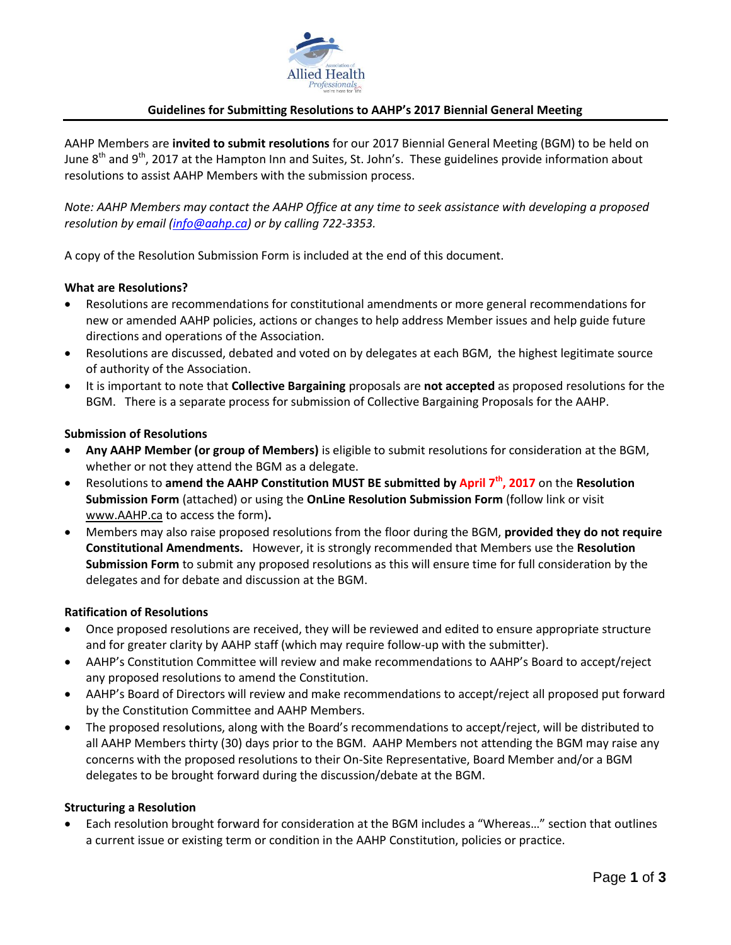

### **Guidelines for Submitting Resolutions to AAHP's 2017 Biennial General Meeting**

AAHP Members are **invited to submit resolutions** for our 2017 Biennial General Meeting (BGM) to be held on June  $8<sup>th</sup>$  and  $9<sup>th</sup>$ , 2017 at the Hampton Inn and Suites, St. John's. These guidelines provide information about resolutions to assist AAHP Members with the submission process.

*Note: AAHP Members may contact the AAHP Office at any time to seek assistance with developing a proposed resolution by email [\(info@aahp.ca\)](mailto:info@aahp.ca) or by calling 722-3353.*

A copy of the Resolution Submission Form is included at the end of this document.

#### **What are Resolutions?**

- Resolutions are recommendations for constitutional amendments or more general recommendations for new or amended AAHP policies, actions or changes to help address Member issues and help guide future directions and operations of the Association.
- Resolutions are discussed, debated and voted on by delegates at each BGM, the highest legitimate source of authority of the Association.
- It is important to note that **Collective Bargaining** proposals are **not accepted** as proposed resolutions for the BGM. There is a separate process for submission of Collective Bargaining Proposals for the AAHP.

#### **Submission of Resolutions**

- **Any AAHP Member (or group of Members)** is eligible to submit resolutions for consideration at the BGM, whether or not they attend the BGM as a delegate.
- Resolutions to **amend the AAHP Constitution MUST BE submitted by April 7th, 2017** on the **Resolution Submission Form** (attached) or using the **OnLine Resolution Submission Form** (follow link or visit [www.AAHP.ca](http://www.aahp.ca/) to access the form)**.**
- Members may also raise proposed resolutions from the floor during the BGM, **provided they do not require Constitutional Amendments.** However, it is strongly recommended that Members use the **Resolution Submission Form** to submit any proposed resolutions as this will ensure time for full consideration by the delegates and for debate and discussion at the BGM.

#### **Ratification of Resolutions**

- Once proposed resolutions are received, they will be reviewed and edited to ensure appropriate structure and for greater clarity by AAHP staff (which may require follow-up with the submitter).
- AAHP's Constitution Committee will review and make recommendations to AAHP's Board to accept/reject any proposed resolutions to amend the Constitution.
- AAHP's Board of Directors will review and make recommendations to accept/reject all proposed put forward by the Constitution Committee and AAHP Members.
- The proposed resolutions, along with the Board's recommendations to accept/reject, will be distributed to all AAHP Members thirty (30) days prior to the BGM. AAHP Members not attending the BGM may raise any concerns with the proposed resolutions to their On-Site Representative, Board Member and/or a BGM delegates to be brought forward during the discussion/debate at the BGM.

#### **Structuring a Resolution**

 Each resolution brought forward for consideration at the BGM includes a "Whereas…" section that outlines a current issue or existing term or condition in the AAHP Constitution, policies or practice.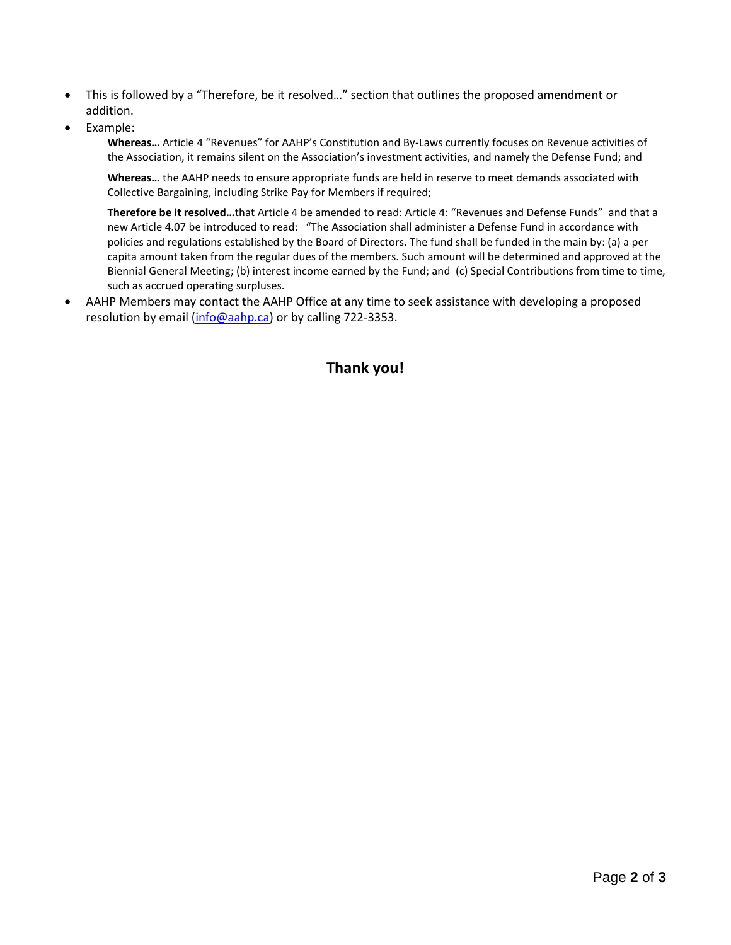- This is followed by a "Therefore, be it resolved…" section that outlines the proposed amendment or addition.
- Example:

**Whereas…** Article 4 "Revenues" for AAHP's Constitution and By-Laws currently focuses on Revenue activities of the Association, it remains silent on the Association's investment activities, and namely the Defense Fund; and

**Whereas…** the AAHP needs to ensure appropriate funds are held in reserve to meet demands associated with Collective Bargaining, including Strike Pay for Members if required;

**Therefore be it resolved…**that Article 4 be amended to read: Article 4: "Revenues and Defense Funds" and that a new Article 4.07 be introduced to read: "The Association shall administer a Defense Fund in accordance with policies and regulations established by the Board of Directors. The fund shall be funded in the main by: (a) a per capita amount taken from the regular dues of the members. Such amount will be determined and approved at the Biennial General Meeting; (b) interest income earned by the Fund; and (c) Special Contributions from time to time, such as accrued operating surpluses.

 AAHP Members may contact the AAHP Office at any time to seek assistance with developing a proposed resolution by email [\(info@aahp.ca\)](mailto:info@aahp.ca) or by calling 722-3353.

# **Thank you!**